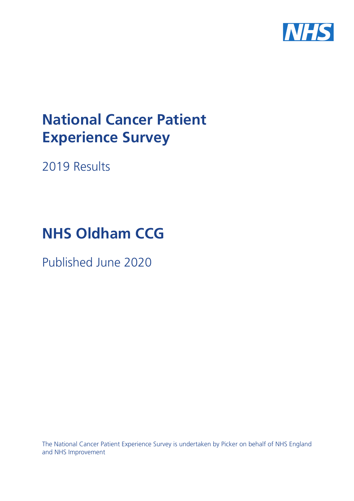

# **National Cancer Patient Experience Survey**

2019 Results

# **NHS Oldham CCG**

Published June 2020

The National Cancer Patient Experience Survey is undertaken by Picker on behalf of NHS England and NHS Improvement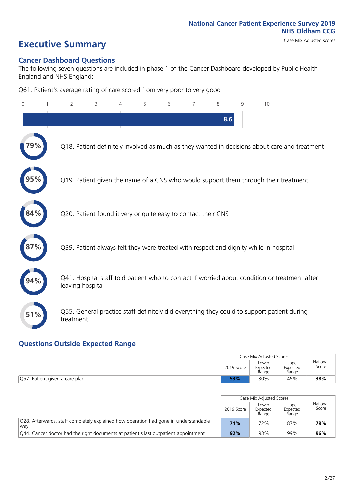# **Executive Summary** Case Mix Adjusted scores

### **Cancer Dashboard Questions**

The following seven questions are included in phase 1 of the Cancer Dashboard developed by Public Health England and NHS England:

Q61. Patient's average rating of care scored from very poor to very good

| 0   | $\overline{2}$                                                | 3 | 5 | 6 | 7 | 8   | $\mathsf{Q}$ | 10                                                                                            |
|-----|---------------------------------------------------------------|---|---|---|---|-----|--------------|-----------------------------------------------------------------------------------------------|
|     |                                                               |   |   |   |   | 8.6 |              |                                                                                               |
|     |                                                               |   |   |   |   |     |              | Q18. Patient definitely involved as much as they wanted in decisions about care and treatment |
|     |                                                               |   |   |   |   |     |              | Q19. Patient given the name of a CNS who would support them through their treatment           |
| 84% | Q20. Patient found it very or quite easy to contact their CNS |   |   |   |   |     |              |                                                                                               |
|     |                                                               |   |   |   |   |     |              | Q39. Patient always felt they were treated with respect and dignity while in hospital         |
|     | leaving hospital                                              |   |   |   |   |     |              | Q41. Hospital staff told patient who to contact if worried about condition or treatment after |
| 51% | treatment                                                     |   |   |   |   |     |              | Q55. General practice staff definitely did everything they could to support patient during    |

### **Questions Outside Expected Range**

|                                |            | Case Mix Adjusted Scores   |                            |                   |  |  |
|--------------------------------|------------|----------------------------|----------------------------|-------------------|--|--|
|                                | 2019 Score | Lower<br>Expected<br>Range | Upper<br>Expected<br>Range | National<br>Score |  |  |
| Q57. Patient given a care plan | 53%        | 38%                        |                            |                   |  |  |

|                                                                                             |            | Case Mix Adjusted Scores   |                            |                   |
|---------------------------------------------------------------------------------------------|------------|----------------------------|----------------------------|-------------------|
|                                                                                             | 2019 Score | Lower<br>Expected<br>Range | Upper<br>Expected<br>Range | National<br>Score |
| Q28. Afterwards, staff completely explained how operation had gone in understandable<br>wav | 71%        | 72%                        | 87%                        | 79%               |
| Q44. Cancer doctor had the right documents at patient's last outpatient appointment         | 92%        | 93%                        | 99%                        | 96%               |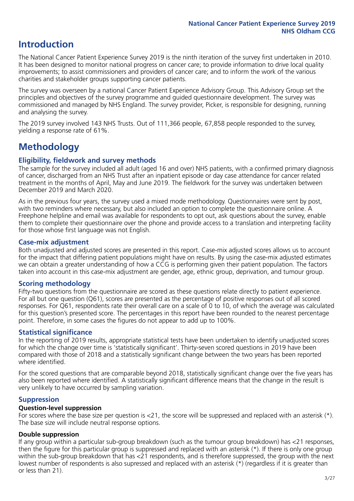# **Introduction**

The National Cancer Patient Experience Survey 2019 is the ninth iteration of the survey first undertaken in 2010. It has been designed to monitor national progress on cancer care; to provide information to drive local quality improvements; to assist commissioners and providers of cancer care; and to inform the work of the various charities and stakeholder groups supporting cancer patients.

The survey was overseen by a national Cancer Patient Experience Advisory Group. This Advisory Group set the principles and objectives of the survey programme and guided questionnaire development. The survey was commissioned and managed by NHS England. The survey provider, Picker, is responsible for designing, running and analysing the survey.

The 2019 survey involved 143 NHS Trusts. Out of 111,366 people, 67,858 people responded to the survey, yielding a response rate of 61%.

# **Methodology**

### **Eligibility, eldwork and survey methods**

The sample for the survey included all adult (aged 16 and over) NHS patients, with a confirmed primary diagnosis of cancer, discharged from an NHS Trust after an inpatient episode or day case attendance for cancer related treatment in the months of April, May and June 2019. The fieldwork for the survey was undertaken between December 2019 and March 2020.

As in the previous four years, the survey used a mixed mode methodology. Questionnaires were sent by post, with two reminders where necessary, but also included an option to complete the questionnaire online. A Freephone helpline and email was available for respondents to opt out, ask questions about the survey, enable them to complete their questionnaire over the phone and provide access to a translation and interpreting facility for those whose first language was not English.

### **Case-mix adjustment**

Both unadjusted and adjusted scores are presented in this report. Case-mix adjusted scores allows us to account for the impact that differing patient populations might have on results. By using the case-mix adjusted estimates we can obtain a greater understanding of how a CCG is performing given their patient population. The factors taken into account in this case-mix adjustment are gender, age, ethnic group, deprivation, and tumour group.

### **Scoring methodology**

Fifty-two questions from the questionnaire are scored as these questions relate directly to patient experience. For all but one question (Q61), scores are presented as the percentage of positive responses out of all scored responses. For Q61, respondents rate their overall care on a scale of 0 to 10, of which the average was calculated for this question's presented score. The percentages in this report have been rounded to the nearest percentage point. Therefore, in some cases the figures do not appear to add up to 100%.

### **Statistical significance**

In the reporting of 2019 results, appropriate statistical tests have been undertaken to identify unadjusted scores for which the change over time is 'statistically significant'. Thirty-seven scored questions in 2019 have been compared with those of 2018 and a statistically significant change between the two years has been reported where identified.

For the scored questions that are comparable beyond 2018, statistically significant change over the five years has also been reported where identified. A statistically significant difference means that the change in the result is very unlikely to have occurred by sampling variation.

### **Suppression**

### **Question-level suppression**

For scores where the base size per question is  $<$ 21, the score will be suppressed and replaced with an asterisk (\*). The base size will include neutral response options.

### **Double suppression**

If any group within a particular sub-group breakdown (such as the tumour group breakdown) has <21 responses, then the figure for this particular group is suppressed and replaced with an asterisk (\*). If there is only one group within the sub-group breakdown that has <21 respondents, and is therefore suppressed, the group with the next lowest number of respondents is also supressed and replaced with an asterisk (\*) (regardless if it is greater than or less than 21).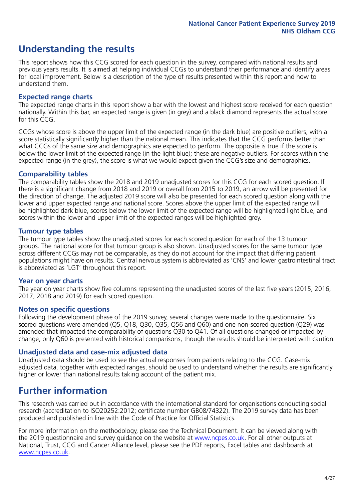# **Understanding the results**

This report shows how this CCG scored for each question in the survey, compared with national results and previous year's results. It is aimed at helping individual CCGs to understand their performance and identify areas for local improvement. Below is a description of the type of results presented within this report and how to understand them.

### **Expected range charts**

The expected range charts in this report show a bar with the lowest and highest score received for each question nationally. Within this bar, an expected range is given (in grey) and a black diamond represents the actual score for this CCG.

CCGs whose score is above the upper limit of the expected range (in the dark blue) are positive outliers, with a score statistically significantly higher than the national mean. This indicates that the CCG performs better than what CCGs of the same size and demographics are expected to perform. The opposite is true if the score is below the lower limit of the expected range (in the light blue); these are negative outliers. For scores within the expected range (in the grey), the score is what we would expect given the CCG's size and demographics.

### **Comparability tables**

The comparability tables show the 2018 and 2019 unadjusted scores for this CCG for each scored question. If there is a significant change from 2018 and 2019 or overall from 2015 to 2019, an arrow will be presented for the direction of change. The adjusted 2019 score will also be presented for each scored question along with the lower and upper expected range and national score. Scores above the upper limit of the expected range will be highlighted dark blue, scores below the lower limit of the expected range will be highlighted light blue, and scores within the lower and upper limit of the expected ranges will be highlighted grey.

### **Tumour type tables**

The tumour type tables show the unadjusted scores for each scored question for each of the 13 tumour groups. The national score for that tumour group is also shown. Unadjusted scores for the same tumour type across different CCGs may not be comparable, as they do not account for the impact that differing patient populations might have on results. Central nervous system is abbreviated as 'CNS' and lower gastrointestinal tract is abbreviated as 'LGT' throughout this report.

### **Year on year charts**

The year on year charts show five columns representing the unadjusted scores of the last five years (2015, 2016, 2017, 2018 and 2019) for each scored question.

### **Notes on specific questions**

Following the development phase of the 2019 survey, several changes were made to the questionnaire. Six scored questions were amended (Q5, Q18, Q30, Q35, Q56 and Q60) and one non-scored question (Q29) was amended that impacted the comparability of questions Q30 to Q41. Of all questions changed or impacted by change, only Q60 is presented with historical comparisons; though the results should be interpreted with caution.

### **Unadjusted data and case-mix adjusted data**

Unadjusted data should be used to see the actual responses from patients relating to the CCG. Case-mix adjusted data, together with expected ranges, should be used to understand whether the results are significantly higher or lower than national results taking account of the patient mix.

### **Further information**

This research was carried out in accordance with the international standard for organisations conducting social research (accreditation to ISO20252:2012; certificate number GB08/74322). The 2019 survey data has been produced and published in line with the Code of Practice for Official Statistics.

For more information on the methodology, please see the Technical Document. It can be viewed along with the 2019 questionnaire and survey quidance on the website at [www.ncpes.co.uk](https://www.ncpes.co.uk/supporting-documents). For all other outputs at National, Trust, CCG and Cancer Alliance level, please see the PDF reports, Excel tables and dashboards at [www.ncpes.co.uk.](https://www.ncpes.co.uk/current-results)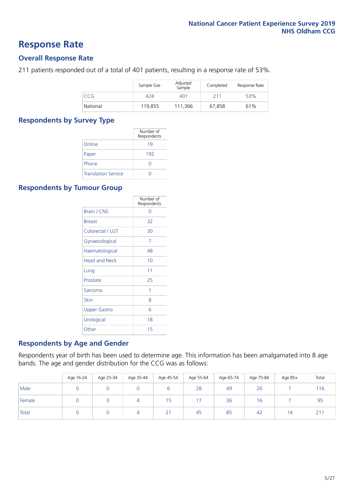### **Response Rate**

### **Overall Response Rate**

211 patients responded out of a total of 401 patients, resulting in a response rate of 53%.

|          | Sample Size | Adjusted<br>Sample | Completed | Response Rate |
|----------|-------------|--------------------|-----------|---------------|
| CCG      | 424         | 401                | 211       | 53%           |
| National | 119.855     | 111.366            | 67.858    | 61%           |

### **Respondents by Survey Type**

|                            | Number of<br>Respondents |
|----------------------------|--------------------------|
| Online                     | 19                       |
| Paper                      | 192                      |
| Phone                      |                          |
| <b>Translation Service</b> |                          |

### **Respondents by Tumour Group**

|                      | Number of<br>Respondents |
|----------------------|--------------------------|
| Brain / CNS          | ∩                        |
| <b>Breast</b>        | 32                       |
| Colorectal / LGT     | 30                       |
| Gynaecological       | 7                        |
| Haematological       | 48                       |
| <b>Head and Neck</b> | 10                       |
| Lung                 | 11                       |
| Prostate             | 25                       |
| Sarcoma              | 1                        |
| Skin                 | 8                        |
| <b>Upper Gastro</b>  | 6                        |
| Urological           | 18                       |
| Other                | 15                       |

### **Respondents by Age and Gender**

Respondents year of birth has been used to determine age. This information has been amalgamated into 8 age bands. The age and gender distribution for the CCG was as follows:

|        | Age 16-24 | Age 25-34 | Age 35-44 | Age 45-54 | Age 55-64 | Age 65-74 | Age 75-84 | Age 85+        | Total           |
|--------|-----------|-----------|-----------|-----------|-----------|-----------|-----------|----------------|-----------------|
| Male   |           |           |           |           | 28        | 49        | 26        |                | 116             |
| Female |           |           | 4         | ל ו       |           | 36        | 16        |                | 95              |
| Total  |           |           | 4         | 21        | 45        | 85        | 42        | $\overline{4}$ | 21 <sup>1</sup> |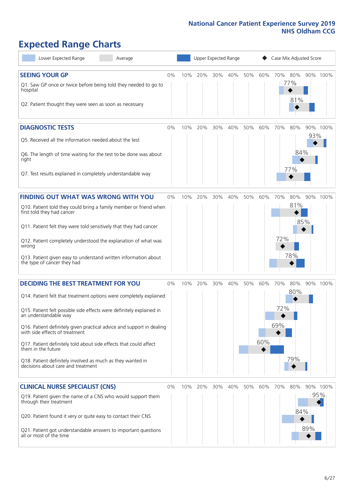# **Expected Range Charts**

| Lower Expected Range<br>Average                                                                                                                                                                                                                                                                                                                                                                                                                                                                                             |       |     |     |     | Upper Expected Range |     |            | Case Mix Adjusted Score |                   |     |                 |
|-----------------------------------------------------------------------------------------------------------------------------------------------------------------------------------------------------------------------------------------------------------------------------------------------------------------------------------------------------------------------------------------------------------------------------------------------------------------------------------------------------------------------------|-------|-----|-----|-----|----------------------|-----|------------|-------------------------|-------------------|-----|-----------------|
| <b>SEEING YOUR GP</b><br>Q1. Saw GP once or twice before being told they needed to go to<br>hospital<br>Q2. Patient thought they were seen as soon as necessary                                                                                                                                                                                                                                                                                                                                                             | 0%    | 10% | 20% | 30% | 40%                  | 50% | 60%        | 70% 80%                 | 77%<br>81%        |     | 90% 100%        |
| <b>DIAGNOSTIC TESTS</b><br>Q5. Received all the information needed about the test<br>Q6. The length of time waiting for the test to be done was about<br>right<br>Q7. Test results explained in completely understandable way                                                                                                                                                                                                                                                                                               | 0%    | 10% | 20% | 30% | 40%                  | 50% | 60%        | 70%                     | 80%<br>84%<br>77% | 93% | 90% 100%        |
| <b>FINDING OUT WHAT WAS WRONG WITH YOU</b><br>Q10. Patient told they could bring a family member or friend when<br>first told they had cancer<br>Q11. Patient felt they were told sensitively that they had cancer<br>Q12. Patient completely understood the explanation of what was<br>wrong<br>Q13. Patient given easy to understand written information about<br>the type of cancer they had                                                                                                                             | $0\%$ | 10% | 20% | 30% | 40%                  | 50% | 60%        | 70%<br>72%              | 80%<br>81%<br>78% | 85% | 90% 100%        |
| <b>DECIDING THE BEST TREATMENT FOR YOU</b><br>Q14. Patient felt that treatment options were completely explained<br>Q15. Patient felt possible side effects were definitely explained in<br>an understandable way<br>Q16. Patient definitely given practical advice and support in dealing<br>with side effects of treatment<br>Q17. Patient definitely told about side effects that could affect<br>them in the future<br>Q18. Patient definitely involved as much as they wanted in<br>decisions about care and treatment | $0\%$ | 10% | 20% | 30% | 40%                  | 50% | 60%<br>60% | 70%<br>72%<br>69%       | 80%<br>80%<br>79% |     | 90% 100%        |
| <b>CLINICAL NURSE SPECIALIST (CNS)</b><br>Q19. Patient given the name of a CNS who would support them<br>through their treatment<br>Q20. Patient found it very or quite easy to contact their CNS<br>Q21. Patient got understandable answers to important questions<br>all or most of the time                                                                                                                                                                                                                              | 0%    | 10% | 20% | 30% | 40%                  | 50% | 60%        | 70%                     | 80%<br>84%        | 89% | 90% 100%<br>95% |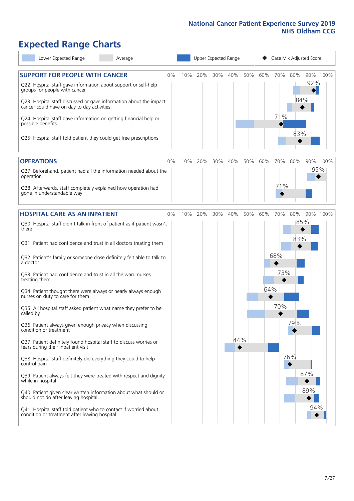# **Expected Range Charts**

| Lower Expected Range<br>Average                                                                                   |     | Upper Expected Range |         |     |     |     |     | Case Mix Adjusted Score |                 |  |
|-------------------------------------------------------------------------------------------------------------------|-----|----------------------|---------|-----|-----|-----|-----|-------------------------|-----------------|--|
| <b>SUPPORT FOR PEOPLE WITH CANCER</b><br>$0\%$<br>Q22. Hospital staff gave information about support or self-help | 10% | 20%                  | 30% 40% |     | 50% | 60% | 70% | 80%                     | 90% 100%<br>92% |  |
| groups for people with cancer                                                                                     |     |                      |         |     |     |     |     | 84%                     |                 |  |
| Q23. Hospital staff discussed or gave information about the impact<br>cancer could have on day to day activities  |     |                      |         |     |     |     |     |                         |                 |  |
| Q24. Hospital staff gave information on getting financial help or<br>possible benefits                            |     |                      |         |     |     |     | 71% |                         |                 |  |
| Q25. Hospital staff told patient they could get free prescriptions                                                |     |                      |         |     |     |     |     | 83%                     |                 |  |
| <b>OPERATIONS</b><br>$0\%$                                                                                        | 10% | 20%                  | 30%     | 40% | 50% | 60% | 70% | 80%                     | 90% 100%        |  |
| Q27. Beforehand, patient had all the information needed about the<br>operation                                    |     |                      |         |     |     |     |     |                         | 95%             |  |
| Q28. Afterwards, staff completely explained how operation had<br>gone in understandable way                       |     |                      |         |     |     |     | 71% |                         |                 |  |
| <b>HOSPITAL CARE AS AN INPATIENT</b><br>0%                                                                        | 10% | 20%                  | 30%     | 40% | 50% | 60% | 70% | 80%                     | 90% 100%        |  |
| Q30. Hospital staff didn't talk in front of patient as if patient wasn't<br>there                                 |     |                      |         |     |     |     |     | 85%                     |                 |  |
| Q31. Patient had confidence and trust in all doctors treating them                                                |     |                      |         |     |     |     |     | 83%                     |                 |  |
| Q32. Patient's family or someone close definitely felt able to talk to<br>a doctor                                |     |                      |         |     |     |     | 68% |                         |                 |  |
| Q33. Patient had confidence and trust in all the ward nurses<br>treating them                                     |     |                      |         |     |     |     | 73% |                         |                 |  |
| Q34. Patient thought there were always or nearly always enough<br>nurses on duty to care for them                 |     |                      |         |     |     | 64% |     |                         |                 |  |
| Q35. All hospital staff asked patient what name they prefer to be<br>called by                                    |     |                      |         |     |     |     | 70% |                         |                 |  |
| Q36. Patient always given enough privacy when discussing<br>condition or treatment                                |     |                      |         |     |     |     |     | 79%                     |                 |  |
| Q37. Patient definitely found hospital staff to discuss worries or<br>fears during their inpatient visit          |     |                      |         | 44% |     |     |     |                         |                 |  |
| Q38. Hospital staff definitely did everything they could to help<br>control pain                                  |     |                      |         |     |     |     |     | 76%                     |                 |  |
| Q39. Patient always felt they were treated with respect and dignity<br>while in hospital                          |     |                      |         |     |     |     |     |                         | 87%             |  |
| Q40. Patient given clear written information about what should or<br>should not do after leaving hospital         |     |                      |         |     |     |     |     |                         | 89%             |  |
| Q41. Hospital staff told patient who to contact if worried about<br>condition or treatment after leaving hospital |     |                      |         |     |     |     |     |                         | 94%             |  |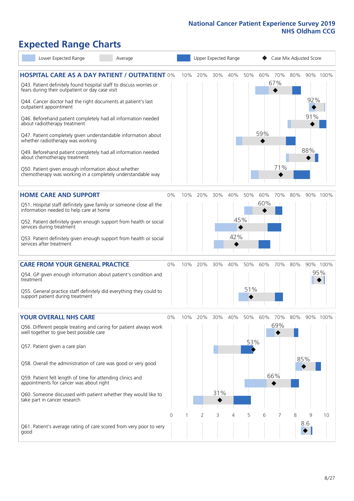# **Expected Range Charts**

| Lower Expected Range<br>Average                                                                                                                                                                                                                                                                                                                                                                                            |       |     |     |     | Upper Expected Range |            |            | Case Mix Adjusted Score |     |            |          |  |  |
|----------------------------------------------------------------------------------------------------------------------------------------------------------------------------------------------------------------------------------------------------------------------------------------------------------------------------------------------------------------------------------------------------------------------------|-------|-----|-----|-----|----------------------|------------|------------|-------------------------|-----|------------|----------|--|--|
| <b>HOSPITAL CARE AS A DAY PATIENT / OUTPATIENT 0%</b><br>Q43. Patient definitely found hospital staff to discuss worries or<br>fears during their outpatient or day case visit<br>Q44. Cancer doctor had the right documents at patient's last<br>outpatient appointment                                                                                                                                                   |       | 10% | 20% | 30% | 40%                  | 50%        |            | 60% 70%<br>67%<br>◆     | 80% | 92%        | 90% 100% |  |  |
| Q46. Beforehand patient completely had all information needed<br>about radiotherapy treatment<br>Q47. Patient completely given understandable information about<br>whether radiotherapy was working<br>Q49. Beforehand patient completely had all information needed<br>about chemotherapy treatment<br>Q50. Patient given enough information about whether<br>chemotherapy was working in a completely understandable way |       |     |     |     |                      |            | 59%        | 71%                     |     | 91%<br>88% |          |  |  |
| <b>HOME CARE AND SUPPORT</b>                                                                                                                                                                                                                                                                                                                                                                                               | 0%    | 10% | 20% | 30% | 40%                  | 50%        | 60%<br>60% | 70%                     | 80% |            | 90% 100% |  |  |
| Q51. Hospital staff definitely gave family or someone close all the<br>information needed to help care at home<br>Q52. Patient definitely given enough support from health or social<br>services during treatment<br>Q53. Patient definitely given enough support from health or social<br>services after treatment                                                                                                        |       |     |     |     | 45%<br>42%           |            |            |                         |     |            |          |  |  |
| <b>CARE FROM YOUR GENERAL PRACTICE</b>                                                                                                                                                                                                                                                                                                                                                                                     | 0%    | 10% | 20% | 30% | 40%                  | 50%        | 60%        | 70%                     | 80% |            | 90% 100% |  |  |
| Q54. GP given enough information about patient's condition and<br>treatment                                                                                                                                                                                                                                                                                                                                                |       |     |     |     |                      | 51%        |            |                         |     |            | 95%      |  |  |
| Q55. General practice staff definitely did everything they could to<br>support patient during treatment                                                                                                                                                                                                                                                                                                                    |       |     |     |     |                      |            |            |                         |     |            |          |  |  |
| <b>YOUR OVERALL NHS CARE</b><br>Q56. Different people treating and caring for patient always work<br>well together to give best possible care<br>Q57. Patient given a care plan<br>Q58. Overall the administration of care was good or very good                                                                                                                                                                           | $0\%$ | 10% | 20% | 30% | 40%                  | 50%<br>53% | 60%        | 70%<br>69%              | 80% | 85%        | 90% 100% |  |  |
| Q59. Patient felt length of time for attending clinics and<br>appointments for cancer was about right<br>Q60. Someone discussed with patient whether they would like to<br>take part in cancer research                                                                                                                                                                                                                    |       |     |     | 31% |                      |            |            | 66%                     |     |            |          |  |  |
| Q61. Patient's average rating of care scored from very poor to very<br>good                                                                                                                                                                                                                                                                                                                                                | 0     |     | 2   | 3   | 4                    | 5          | 6          |                         | 8   | 9<br>8.6   | 10       |  |  |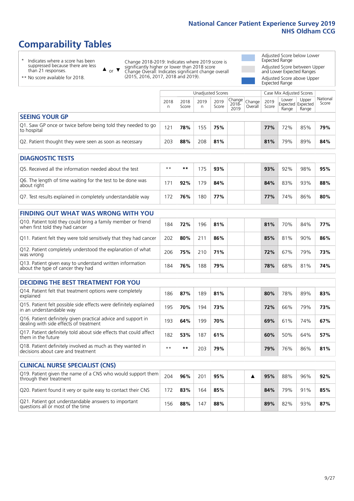# **Comparability Tables**

\* Indicates where a score has been suppressed because there are less than 21 responses.

\*\* No score available for 2018.

or  $\blacktriangledown$  $\blacktriangle$ 

Change 2018-2019: Indicates where 2019 score is significantly higher or lower than 2018 score Change Overall: Indicates significant change overall (2015, 2016, 2017, 2018 and 2019).

Adjusted Score below Lower Expected Range Adjusted Score between Upper and Lower Expected Ranges Adjusted Score above Upper Expected Range

|                                                                                                 |           |               | <b>Unadjusted Scores</b> |               |                         |                   |               | Case Mix Adjusted Scores |                                     |                   |
|-------------------------------------------------------------------------------------------------|-----------|---------------|--------------------------|---------------|-------------------------|-------------------|---------------|--------------------------|-------------------------------------|-------------------|
|                                                                                                 | 2018<br>n | 2018<br>Score | 2019<br>n                | 2019<br>Score | Change<br>2018-<br>2019 | Change<br>Overall | 2019<br>Score | Lower<br>Range           | Upper<br>Expected Expected<br>Range | National<br>Score |
| <b>SEEING YOUR GP</b>                                                                           |           |               |                          |               |                         |                   |               |                          |                                     |                   |
| Q1. Saw GP once or twice before being told they needed to go<br>to hospital                     | 121       | 78%           | 155                      | 75%           |                         |                   | 77%           | 72%                      | 85%                                 | 79%               |
| Q2. Patient thought they were seen as soon as necessary                                         | 203       | 88%           | 208                      | 81%           |                         |                   | 81%           | 79%                      | 89%                                 | 84%               |
|                                                                                                 |           |               |                          |               |                         |                   |               |                          |                                     |                   |
| <b>DIAGNOSTIC TESTS</b>                                                                         |           |               |                          |               |                         |                   |               |                          |                                     |                   |
| O5. Received all the information needed about the test                                          | $***$     | **            | 175                      | 93%           |                         |                   | 93%           | 92%                      | 98%                                 | 95%               |
| Q6. The length of time waiting for the test to be done was<br>about right                       | 171       | 92%           | 179                      | 84%           |                         |                   | 84%           | 83%                      | 93%                                 | 88%               |
| Q7. Test results explained in completely understandable way                                     | 172       | 76%           | 180                      | 77%           |                         |                   | 77%           | 74%                      | 86%                                 | 80%               |
| <b>FINDING OUT WHAT WAS WRONG WITH YOU</b>                                                      |           |               |                          |               |                         |                   |               |                          |                                     |                   |
| Q10. Patient told they could bring a family member or friend<br>when first told they had cancer | 184       | 72%           | 196                      | 81%           |                         |                   | 81%           | 70%                      | 84%                                 | 77%               |
| Q11. Patient felt they were told sensitively that they had cancer                               | 202       | 80%           | 211                      | 86%           |                         |                   | 85%           | 81%                      | 90%                                 | 86%               |
| Q12. Patient completely understood the explanation of what<br>was wrong                         | 206       | 75%           | 210                      | 71%           |                         |                   | 72%           | 67%                      | 79%                                 | 73%               |
| Q13. Patient given easy to understand written information<br>about the type of cancer they had  | 184       | 76%           | 188                      | 79%           |                         |                   | 78%           | 68%                      | 81%                                 | 74%               |

| <b>DECIDING THE BEST TREATMENT FOR YOU</b>                                                              |      |     |     |     |  |     |     |     |     |  |  |  |
|---------------------------------------------------------------------------------------------------------|------|-----|-----|-----|--|-----|-----|-----|-----|--|--|--|
| Q14. Patient felt that treatment options were completely<br>explained                                   | 186  | 87% | 189 | 81% |  | 80% | 78% | 89% | 83% |  |  |  |
| Q15. Patient felt possible side effects were definitely explained<br>in an understandable way           | 195  | 70% | 194 | 73% |  | 72% | 66% | 79% | 73% |  |  |  |
| Q16. Patient definitely given practical advice and support in<br>dealing with side effects of treatment | 193  | 64% | 199 | 70% |  | 69% | 61% | 74% | 67% |  |  |  |
| Q17. Patient definitely told about side effects that could affect<br>them in the future                 | 182  | 53% | 187 | 61% |  | 60% | 50% | 64% | 57% |  |  |  |
| Q18. Patient definitely involved as much as they wanted in<br>decisions about care and treatment        | $**$ | **  | 203 | 79% |  | 79% | 76% | 86% | 81% |  |  |  |

| <b>CLINICAL NURSE SPECIALIST (CNS)</b>                                                    |     |     |     |     |  |     |     |     |     |
|-------------------------------------------------------------------------------------------|-----|-----|-----|-----|--|-----|-----|-----|-----|
| Q19. Patient given the name of a CNS who would support them<br>through their treatment    | 204 | 96% | 201 | 95% |  | 95% | 88% | 96% | 92% |
| Q20. Patient found it very or quite easy to contact their CNS                             | 172 | 83% | 164 | 85% |  | 84% | 79% | 91% | 85% |
| Q21. Patient got understandable answers to important<br>questions all or most of the time | 156 | 88% | 147 | 88% |  | 89% | 82% | 93% | 87% |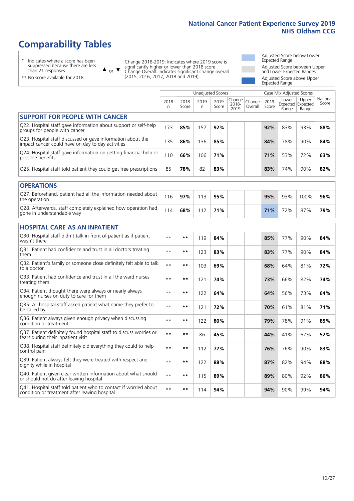# **Comparability Tables**

\* Indicates where a score has been suppressed because there are less than 21 responses.

\*\* No score available for 2018.

 $\triangle$  or  $\nabla$ 

Change 2018-2019: Indicates where 2019 score is significantly higher or lower than 2018 score Change Overall: Indicates significant change overall (2015, 2016, 2017, 2018 and 2019).

Adjusted Score below Lower Expected Range Adjusted Score between Upper and Lower Expected Ranges Adjusted Score above Upper Expected Range

|                                                                                                                   |              |               | <b>Unadjusted Scores</b> |               |                         |                   |               | Case Mix Adjusted Scores            |                |                   |
|-------------------------------------------------------------------------------------------------------------------|--------------|---------------|--------------------------|---------------|-------------------------|-------------------|---------------|-------------------------------------|----------------|-------------------|
|                                                                                                                   | 2018<br>n    | 2018<br>Score | 2019<br>n.               | 2019<br>Score | Change<br>2018-<br>2019 | Change<br>Overall | 2019<br>Score | Lower<br>Expected Expected<br>Range | Upper<br>Range | National<br>Score |
| <b>SUPPORT FOR PEOPLE WITH CANCER</b>                                                                             |              |               |                          |               |                         |                   |               |                                     |                |                   |
| Q22. Hospital staff gave information about support or self-help<br>groups for people with cancer                  | 173          | 85%           | 157                      | 92%           |                         |                   | 92%           | 83%                                 | 93%            | 88%               |
| Q23. Hospital staff discussed or gave information about the<br>impact cancer could have on day to day activities  | 135          | 86%           | 136                      | 85%           |                         |                   | 84%           | 78%                                 | 90%            | 84%               |
| Q24. Hospital staff gave information on getting financial help or<br>possible benefits                            | 110          | 66%           | 106                      | 71%           |                         |                   | 71%           | 53%                                 | 72%            | 63%               |
| Q25. Hospital staff told patient they could get free prescriptions                                                | 85           | 78%           | 82                       | 83%           |                         |                   | 83%           | 74%                                 | 90%            | 82%               |
| <b>OPERATIONS</b>                                                                                                 |              |               |                          |               |                         |                   |               |                                     |                |                   |
| Q27. Beforehand, patient had all the information needed about<br>the operation                                    | 116          | 97%           | 113                      | 95%           |                         |                   | 95%           | 93%                                 | 100%           | 96%               |
| Q28. Afterwards, staff completely explained how operation had<br>gone in understandable way                       | 114          | 68%           | 112                      | 71%           |                         |                   | 71%           | 72%                                 | 87%            | 79%               |
| <b>HOSPITAL CARE AS AN INPATIENT</b>                                                                              |              |               |                          |               |                         |                   |               |                                     |                |                   |
| Q30. Hospital staff didn't talk in front of patient as if patient<br>wasn't there                                 | $\star\star$ | **            | 119                      | 84%           |                         |                   | 85%           | 77%                                 | 90%            | 84%               |
| Q31. Patient had confidence and trust in all doctors treating<br>them                                             | $\star\star$ | $***$         | 123                      | 83%           |                         |                   | 83%           | 77%                                 | 90%            | 84%               |
| Q32. Patient's family or someone close definitely felt able to talk<br>to a doctor                                | $* *$        | **            | 103                      | 69%           |                         |                   | 68%           | 64%                                 | 81%            | 72%               |
| O33. Patient had confidence and trust in all the ward nurses<br>treating them                                     | $\star\star$ | **            | 121                      | 74%           |                         |                   | 73%           | 66%                                 | 82%            | 74%               |
| Q34. Patient thought there were always or nearly always<br>enough nurses on duty to care for them                 | $* *$        | **            | 122                      | 64%           |                         |                   | 64%           | 56%                                 | 73%            | 64%               |
| Q35. All hospital staff asked patient what name they prefer to<br>be called by                                    | $\star\star$ | $***$         | 121                      | 72%           |                         |                   | 70%           | 61%                                 | 81%            | 71%               |
| Q36. Patient always given enough privacy when discussing<br>condition or treatment                                | $* *$        | **            | 122                      | 80%           |                         |                   | 79%           | 78%                                 | 91%            | 85%               |
| Q37. Patient definitely found hospital staff to discuss worries or<br>fears during their inpatient visit          | $* *$        | **            | 86                       | 45%           |                         |                   | 44%           | 41%                                 | 62%            | 52%               |
| Q38. Hospital staff definitely did everything they could to help<br>control pain                                  | $* *$        | $***$         | 112                      | 77%           |                         |                   | 76%           | 76%                                 | 90%            | 83%               |
| Q39. Patient always felt they were treated with respect and<br>dignity while in hospital                          | $***$        | **            | 122                      | 88%           |                         |                   | 87%           | 82%                                 | 94%            | 88%               |
| Q40. Patient given clear written information about what should<br>or should not do after leaving hospital         | $* *$        | **            | 115                      | 89%           |                         |                   | 89%           | 80%                                 | 92%            | 86%               |
| Q41. Hospital staff told patient who to contact if worried about<br>condition or treatment after leaving hospital | $**$         | **            | 114                      | 94%           |                         |                   | 94%           | 90%                                 | 99%            | 94%               |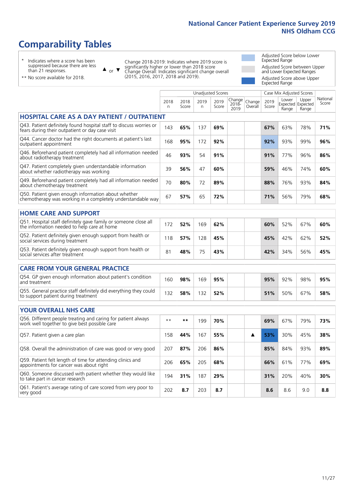# **Comparability Tables**

\* Indicates where a score has been suppressed because there are less than 21 responses.

\*\* No score available for 2018.

 $\triangle$  or  $\nabla$ 

Change 2018-2019: Indicates where 2019 score is significantly higher or lower than 2018 score Change Overall: Indicates significant change overall (2015, 2016, 2017, 2018 and 2019).

Adjusted Score below Lower Expected Range Adjusted Score between Upper and Lower Expected Ranges Adjusted Score above Upper Expected Range

|                                                                                                                       |           |               |            | <b>Unadjusted Scores</b> |                         |                   |               | Case Mix Adjusted Scores |                                     |                   |
|-----------------------------------------------------------------------------------------------------------------------|-----------|---------------|------------|--------------------------|-------------------------|-------------------|---------------|--------------------------|-------------------------------------|-------------------|
|                                                                                                                       | 2018<br>n | 2018<br>Score | 2019<br>n. | 2019<br>Score            | Change<br>2018-<br>2019 | Change<br>Overall | 2019<br>Score | Lower<br>Range           | Upper<br>Expected Expected<br>Range | National<br>Score |
| <b>HOSPITAL CARE AS A DAY PATIENT / OUTPATIENT</b>                                                                    |           |               |            |                          |                         |                   |               |                          |                                     |                   |
| Q43. Patient definitely found hospital staff to discuss worries or<br>fears during their outpatient or day case visit | 143       | 65%           | 137        | 69%                      |                         |                   | 67%           | 63%                      | 78%                                 | 71%               |
| Q44. Cancer doctor had the right documents at patient's last<br>outpatient appointment                                | 168       | 95%           | 172        | 92%                      |                         |                   | 92%           | 93%                      | 99%                                 | 96%               |
| Q46. Beforehand patient completely had all information needed<br>about radiotherapy treatment                         | 46        | 93%           | 54         | 91%                      |                         |                   | 91%           | 77%                      | 96%                                 | 86%               |
| Q47. Patient completely given understandable information<br>about whether radiotherapy was working                    | 39        | 56%           | 47         | 60%                      |                         |                   | 59%           | 46%                      | 74%                                 | 60%               |
| Q49. Beforehand patient completely had all information needed<br>about chemotherapy treatment                         | 70        | 80%           | 72         | 89%                      |                         |                   | 88%           | 76%                      | 93%                                 | 84%               |
| Q50. Patient given enough information about whether<br>chemotherapy was working in a completely understandable way    | 67        | 57%           | 65         | 72%                      |                         |                   | 71%           | 56%                      | 79%                                 | 68%               |
| <b>HOME CARE AND SUPPORT</b>                                                                                          |           |               |            |                          |                         |                   |               |                          |                                     |                   |
| Q51. Hospital staff definitely gave family or someone close all<br>the information needed to help care at home        | 172       | 52%           | 169        | 62%                      |                         |                   | 60%           | 52%                      | 67%                                 | 60%               |
| Q52. Patient definitely given enough support from health or<br>social services during treatment                       | 118       | 57%           | 128        | 45%                      |                         |                   | 45%           | 42%                      | 62%                                 | 52%               |
| Q53. Patient definitely given enough support from health or<br>social services after treatment                        | 81        | 48%           | 75         | 43%                      |                         |                   | 42%           | 34%                      | 56%                                 | 45%               |
| <b>CARE FROM YOUR GENERAL PRACTICE</b>                                                                                |           |               |            |                          |                         |                   |               |                          |                                     |                   |
| Q54. GP given enough information about patient's condition<br>and treatment                                           | 160       | 98%           | 169        | 95%                      |                         |                   | 95%           | 92%                      | 98%                                 | 95%               |
| Q55. General practice staff definitely did everything they could<br>to support patient during treatment               | 132       | 58%           | 132        | 52%                      |                         |                   | 51%           | 50%                      | 67%                                 | 58%               |
| <b>YOUR OVERALL NHS CARE</b>                                                                                          |           |               |            |                          |                         |                   |               |                          |                                     |                   |
| Q56. Different people treating and caring for patient always<br>work well together to give best possible care         | $* *$     | **            | 199        | 70%                      |                         |                   | 69%           | 67%                      | 79%                                 | 73%               |
| Q57. Patient given a care plan                                                                                        | 158       | 44%           | 167        | 55%                      |                         | ▲                 | 53%           | 30%                      | 45%                                 | 38%               |
| Q58. Overall the administration of care was good or very good                                                         | 207       | 87%           | 206        | 86%                      |                         |                   | 85%           | 84%                      | 93%                                 | 89%               |
| Q59. Patient felt length of time for attending clinics and<br>appointments for cancer was about right                 | 206       | 65%           | 205        | 68%                      |                         |                   | 66%           | 61%                      | 77%                                 | 69%               |
| Q60. Someone discussed with patient whether they would like<br>to take part in cancer research                        | 194       | 31%           | 187        | 29%                      |                         |                   | 31%           | 20%                      | 40%                                 | 30%               |
| Q61. Patient's average rating of care scored from very poor to<br>very good                                           | 202       | 8.7           | 203        | 8.7                      |                         |                   | 8.6           | 8.6                      | 9.0                                 | 8.8               |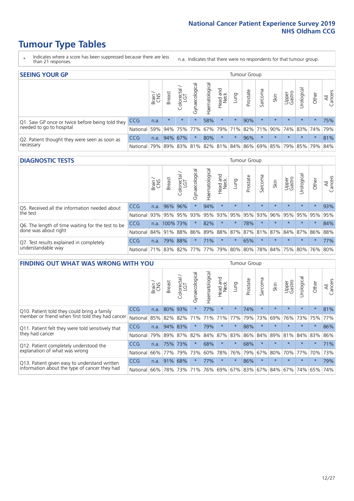- \* Indicates where a score has been suppressed because there are less than 21 responses.
- n.a. Indicates that there were no respondents for that tumour group.

| <b>SEEING YOUR GP</b>                           |            |              |               |            |                    |                |                  |         | Tumour Group |         |         |                 |                                                           |         |                |
|-------------------------------------------------|------------|--------------|---------------|------------|--------------------|----------------|------------------|---------|--------------|---------|---------|-----------------|-----------------------------------------------------------|---------|----------------|
|                                                 |            | Brain<br>CNS | <b>Breast</b> | Colorectal | ᠊ᢛ<br>Gynaecologic | Haematological | Head and<br>Neck | Lung    | Prostate     | Sarcoma | Skin    | Upper<br>Gastro | $\sigma$<br>Jrologica                                     | Other   | All<br>Cancers |
| Q1. Saw GP once or twice before being told they | <b>CCG</b> | n.a.         | $\star$       | $\star$    | $\star$            | 58%            | $\star$          | $\star$ | 90%          | $\star$ | $\star$ | $\star$         | $\star$                                                   | $\star$ | 75%            |
| needed to go to hospital                        | National   | 59%          |               |            | 94% 75% 77%        |                |                  |         |              |         |         |                 | 67%   79%   71%   82%   71%   90%   74%   83%   74%   79% |         |                |
| Q2. Patient thought they were seen as soon as   | <b>CCG</b> | n.a.         |               | 94% 67%    | $\star$            | 80%            | $\star$          | $\star$ | 96%          | $\star$ | $\star$ | $\star$         | $\star$                                                   | $\star$ | 81%            |
| necessary                                       | National   | 79%          |               |            |                    |                |                  |         |              |         |         |                 | 89% 83% 81% 82% 81% 84% 86% 69% 85% 79% 85% 79%           |         | 84%            |

#### **DIAGNOSTIC TESTS** Tumour Group

|                                                   |                                                              | Brain | Breast   | olorectal.<br>LGT<br>Û | Gynaecological | aematological | Head and<br>Neck | Lung     | Prostate | Sarcoma | Skin                    | Upper<br>Gastro | Jrological | Other   | All<br>Cancers |
|---------------------------------------------------|--------------------------------------------------------------|-------|----------|------------------------|----------------|---------------|------------------|----------|----------|---------|-------------------------|-----------------|------------|---------|----------------|
| O5. Received all the information needed about     | <b>CCG</b>                                                   | n.a.  | 96% 96%  |                        | $\star$        | 94%           | $\star$          | $\star$  | $\star$  | $\star$ | $\star$                 | $\star$         | $\star$    | $\star$ | 93%            |
| $\vert$ the test                                  | National                                                     | 93%   |          | 95% 95%                | 93%            | 95%           | 93%              |          | 95% 95%  | 93%     | 96%                     | 95%             | 95%        | 95%     | 95%            |
| Q6. The length of time waiting for the test to be | <b>CCG</b>                                                   | n.a.  | 100% 73% |                        |                | 82%           | $\star$          | $\star$  | 78%      |         | $\star$                 | $\star$         | $\star$    | $\star$ | 84%            |
| done was about right                              | National 84% 91% 88% 86% 89% 88% 87% 87% 81% 87% 84% 87% 86% |       |          |                        |                |               |                  |          |          |         |                         |                 |            |         | 88%            |
| Q7. Test results explained in completely          | <b>CCG</b>                                                   | n.a.  |          | 79% 88%                |                | 71%           | $\star$          | $^\star$ | 65%      | $\star$ | $\star$                 | $\star$         | $\star$    | $\star$ | 77%            |
| understandable way                                | National 71% 83% 82% 77% 77% 79% 80% 80%                     |       |          |                        |                |               |                  |          |          |         | 78% 84% 75% 80% 76% 80% |                 |            |         |                |

|                                                   | <b>FINDING OUT WHAT WAS WRONG WITH YOU</b><br><b>Breast</b><br>Brain |      |     |                 |                |                |                        |          |          | <b>Tumour Group</b> |                     |                 |           |         |                |
|---------------------------------------------------|----------------------------------------------------------------------|------|-----|-----------------|----------------|----------------|------------------------|----------|----------|---------------------|---------------------|-----------------|-----------|---------|----------------|
|                                                   |                                                                      |      |     | ╮<br>Colorectal | Gynaecological | Haematological | ad and<br>Neck<br>Head | Lung     | Prostate | Sarcoma             | Skin                | Upper<br>Gastro | Jrologica | Other   | All<br>Cancers |
| Q10. Patient told they could bring a family       | <b>CCG</b>                                                           | n.a. | 80% | 93%             | $\star$        | 77%            | $\star$                | $\star$  | 74%      | $\star$             | $\star$             | $\star$         | $\star$   | $\star$ | 81%            |
| member or friend when first told they had cancer  | National                                                             | 85%  | 82% | 82%             | 71%            | 71%            | 71%                    | 77%      | 79%      | 73%                 | 69%                 | 76%             | 73% 75%   |         | 77%            |
| Q11. Patient felt they were told sensitively that | CCG                                                                  | n.a. | 94% | 83%             | $\star$        | 79%            | $\star$                | $\star$  | 88%      | $\star$             | $\star$             | $\star$         | $\star$   | $\star$ | 86%            |
| they had cancer                                   | National                                                             | 79%  | 89% | 87%             | 82%            | 84%            | 87%                    | 83%      | 86%      | 84%                 | 89%                 | 81%             | 84% 83%   |         | 86%            |
| Q12. Patient completely understood the            | <b>CCG</b>                                                           | n.a. |     | 75% 73%         | $\star$        | 68%            | $\star$                | $\star$  | 68%      | $\star$             | $\star$             | $\star$         | $\star$   | $\ast$  | 71%            |
| explanation of what was wrong                     | National                                                             | 66%  | 77% | 79%             | 73%            | 60%            | 78%                    | 76%      | 79%      | 67%                 | 80%                 | 70%             | 77%       | 70%     | 73%            |
| Q13. Patient given easy to understand written     | CCG                                                                  | n.a. | 91% | 68%             |                | 77%            | $\star$                | $^\star$ | 86%      | $\star$             | $\star$             | $\star$         | $\star$   | $\ast$  | 79%            |
| information about the type of cancer they had     | National                                                             | 66%  |     | 78% 73%         | 71%            | 76%            |                        |          |          |                     | 69% 67% 83% 67% 84% | 67%             | 74%       | 65%     | 74%            |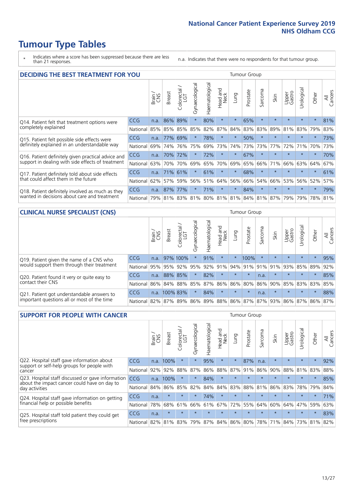- \* Indicates where a score has been suppressed because there are less than 21 responses.
- n.a. Indicates that there were no respondents for that tumour group.

| <b>DECIDING THE BEST TREATMENT FOR YOU</b>         |            |       |               |                             |                |                |                         |         | <b>Tumour Group</b> |                      |                                         |                 |            |         |                |
|----------------------------------------------------|------------|-------|---------------|-----------------------------|----------------|----------------|-------------------------|---------|---------------------|----------------------|-----------------------------------------|-----------------|------------|---------|----------------|
|                                                    |            | Brain | <b>Breast</b> | olorectal.<br>LGT<br>$\cup$ | Gynaecological | Haematological | ead and<br>Neck<br>Head | Lung    | Prostate            | arcoma<br>$\sqrt{ }$ | Skin                                    | Upper<br>Gastro | Jrological | Other   | All<br>Cancers |
| Q14. Patient felt that treatment options were      | CCG        | n.a.  | 86%           | 89%                         | $\star$        | 80%            | $\star$                 | $\star$ | 65%                 | $\star$              | $\star$                                 | $\star$         | $\star$    | $\star$ | 81%            |
| completely explained                               | National   | 85%   | 85%           | 85%                         | 85%            | 82%            | 87%                     | 84%     | 83%                 | 83%                  | 89%                                     | 81%             | 83%        | 79%     | 83%            |
| Q15. Patient felt possible side effects were       | CCG        | n.a.  | 77%           | 69%                         | $\star$        | 78%            | $\star$                 | $\star$ | 50%                 | $\star$              |                                         | $\star$         | $\star$    | $\star$ | 73%            |
| definitely explained in an understandable way      | National   | 69%   | 74%           | 76%                         | 75%            | 69%            | 73%                     | 74%     | 73%                 | 73%                  | 77%                                     | 72%             | 71%        | 70%     | 73%            |
| Q16. Patient definitely given practical advice and | <b>CCG</b> | n.a.  | 70%           | 72%                         |                | 72%            | $\star$                 | $\star$ | 67%                 | $\star$              | $\star$                                 | $\star$         | $\star$    | $\star$ | 70%            |
| support in dealing with side effects of treatment  | National   | 63%   | 70%           | 70%                         | 69%            | 65%            | 70%                     | 69%     | 65%                 | 66%                  | 71%                                     | 66%             | 63%        | 64%     | 67%            |
| Q17. Patient definitely told about side effects    | <b>CCG</b> | n.a.  | 71%           | 61%                         | $\star$        | 61%            | $\star$                 | $\star$ | 68%                 | $\star$              | $\star$                                 | $\star$         | $\star$    | $\star$ | 61%            |
| that could affect them in the future               | National   | 62%   | 57%           | 59%                         | 56%            | 51%            | 64%                     | 56%     | 66%                 | 54%                  | 66%                                     | 53%             | 56%        | 52%     | 57%            |
| Q18. Patient definitely involved as much as they   | CCG        | n.a.  | 87%           | 77%                         | $\star$        | 71%            | $\star$                 | $\star$ | 84%                 | $\star$              | $\star$                                 | $\star$         | $\star$    | $\star$ | 79%            |
| wanted in decisions about care and treatment       | National   | 79%   |               |                             |                |                |                         |         |                     |                      | 81% 83% 81% 80% 81% 81% 84% 81% 87% 79% |                 | 79%        | 78% 81% |                |

#### **CLINICAL NURSE SPECIALIST (CNS)** Tumour Group

|                                             |            | Brain | <b>Breast</b> | olorectal<br>LGT<br>U | $\sigma$<br>aecologio<br>Ğ | Haematological | Head and<br>Neck | <b>Dun</b> | Prostate        | Sarcoma | Skin                        | Upper<br>Gastro | σ<br>rologica | Other    | All<br>Cancers |
|---------------------------------------------|------------|-------|---------------|-----------------------|----------------------------|----------------|------------------|------------|-----------------|---------|-----------------------------|-----------------|---------------|----------|----------------|
| Q19. Patient given the name of a CNS who    | <b>CCG</b> | n.a.  |               | 97% 100%              |                            | 91%            | $\star$          | $\star$    | 100%            | $\star$ | $\star$                     | $\star$         | $\star$       | $\star$  | 95%            |
| would support them through their treatment  | National   | 95%   |               | 95% 92%               | 95%                        |                |                  |            |                 |         | 92% 91% 94% 91% 91% 91% 91% | 93%             | 85% 89%       |          | 92%            |
| Q20. Patient found it very or quite easy to | <b>CCG</b> | n.a.  |               | 88% 85%               |                            | 82%            | $\star$          | $\star$    | $\star$         | n.a.    | $\star$                     | $\star$         | $\star$       | $^\star$ | 85%            |
| contact their CNS                           | National   | 86%   |               | 84% 88%               | 85%                        |                |                  |            | 87% 86% 86% 80% | 86%     | 90%                         | 85%             | 83% 83%       |          | 85%            |
| Q21. Patient got understandable answers to  | <b>CCG</b> | n.a.  | 100% 83%      |                       | $\star$                    | 84%            | $\star$          | $\star$    | $\star$         | n.a.    | $\star$                     | $\star$         | $\star$       | $^\star$ | 88%            |
| important questions all or most of the time | National   | 82%   | 87%           | 89%                   | 86%                        |                |                  |            |                 |         | 89% 88% 86% 87% 87% 93%     | 86%             | 87% 86%       |          | 87%            |

| <b>SUPPORT FOR PEOPLE WITH CANCER</b>                                                             |            |       |               |                        |                |                |                         |         | <b>Tumour Group</b> |              |         |                 |            |         |                |
|---------------------------------------------------------------------------------------------------|------------|-------|---------------|------------------------|----------------|----------------|-------------------------|---------|---------------------|--------------|---------|-----------------|------------|---------|----------------|
|                                                                                                   |            | Brain | <b>Breast</b> | olorectal.<br>LGT<br>Ū | Gynaecological | Haematological | ead and<br>Neck<br>Head | Lung    | Prostate            | arcoma<br>ιñ | Skin    | Upper<br>Gastro | Urological | Other   | All<br>Cancers |
| Q22. Hospital staff gave information about<br>support or self-help groups for people with         | CCG        | n.a.  | 100%          | $\star$                | $\star$        | 95%            | $\star$                 | $\star$ | 87%                 | n.a.         | $\star$ | $\star$         | $\star$    | $\star$ | 92%            |
| cancer                                                                                            | National   | 92%   | 92%           | 88%                    | 87%            | 86%            | 88%                     | 87%     | 91%                 | 86%          | 90%     | 88%             | 81%        | 83%     | 88%            |
| Q23. Hospital staff discussed or gave information<br>about the impact cancer could have on day to | <b>CCG</b> | n.a.  | 100%          | $\star$                | $\star$        | 84%            | $\star$                 | $\star$ | $\star$             | $\star$      | $\star$ | $\star$         | $\star$    | $\star$ | 85%            |
| day activities                                                                                    | National   | 84%   | 86%           | 85%                    | 82%            | 84%            | 84%                     | 83%     | 88%                 | 81%          | 86%     | 83%             | 78%        | 79%     | 84%            |
| Q24. Hospital staff gave information on getting                                                   | <b>CCG</b> | n.a.  | $\star$       | $\star$                | $\star$        | 74%            | $\star$                 | $\star$ | $\star$             | $\star$      | $\star$ | $\star$         | $\star$    | $\star$ | 71%            |
| financial help or possible benefits                                                               | National   | 78%   | 68%           | 61%                    | 66%            | 61%            | 67%                     | 72%     | 55%                 | 64%          | 60%     | 64%             | 47%        | 59%     | 63%            |
| Q25. Hospital staff told patient they could get                                                   | <b>CCG</b> | n.a.  | $\star$       | $\star$                | $\star$        | $\star$        | $\star$                 | $\star$ | $\star$             | $\star$      | $\star$ | $\star$         | $\star$    | $\star$ | 83%            |
| free prescriptions                                                                                | National   | 82%   | 81%           | 83%                    | 79%            | 87%            | 84%                     | 86%     | 80%                 | 78%          | 71%     | 84%             | 73%        | 81%     | 82%            |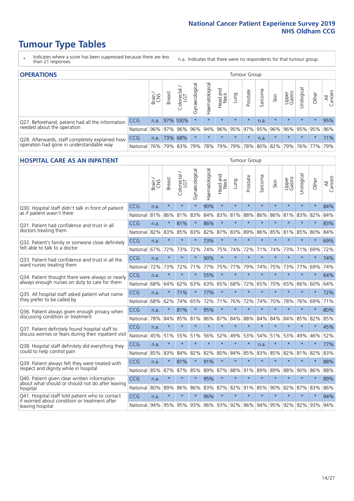- \* Indicates where a score has been suppressed because there are less than 21 responses.
- n.a. Indicates that there were no respondents for that tumour group.

| <b>OPERATIONS</b>                                |                      |       |               |            |                |                               |                  |         | Tumour Group            |         |         |                 |                                  |           |                |
|--------------------------------------------------|----------------------|-------|---------------|------------|----------------|-------------------------------|------------------|---------|-------------------------|---------|---------|-----------------|----------------------------------|-----------|----------------|
|                                                  |                      | Brain | <b>Breast</b> | Colorectal | Gynaecological | $\overline{3}$<br>Haematologi | Head and<br>Neck | Lung    | Prostate                | Sarcoma | Skin    | Upper<br>Gastro | $\overline{\sigma}$<br>Jrologica | Other     | All<br>Cancers |
| Q27. Beforehand, patient had all the information | <b>CCG</b>           | n.a.  |               | 97% 100%   | $\star$        |                               | $\star$          | $\star$ | $\star$                 | n.a.    | $\star$ | $\star$         | $\star$                          | $\star$   | 95%            |
| needed about the operation                       | National 96% 97% 96% |       |               |            | 96%            |                               |                  |         | 94% 96% 95% 97% 95% 96% |         |         |                 | 96% 95% 95%                      |           | 96%            |
| Q28. Afterwards, staff completely explained how  | <b>CCG</b>           | n.a.  |               | 73% 68%    | $\star$        | $\star$                       | $\star$          | $\star$ | $\star$                 | n.a.    | $\star$ | $\star$         | $\star$                          | $\star$   | 71%            |
| operation had gone in understandable way         | National             | 76%   |               |            |                | 79% 83% 79% 78% 79%           |                  |         | 79% 78% 80% 82% 79%     |         |         |                 |                                  | 76%   77% | 79%            |

#### **HOSPITAL CARE AS AN INPATIENT** Tumour Group

|                                                                                                  |            | Brain<br>CNS | <b>Breast</b> | Colorectal /<br>LGT | Gynaecological | Haematological | Head and<br>Neck | Lung        | Prostate | Sarcoma | Skin    | Upper<br>Gastro | Urological      | Other   | Cancers<br>$\equiv$ |
|--------------------------------------------------------------------------------------------------|------------|--------------|---------------|---------------------|----------------|----------------|------------------|-------------|----------|---------|---------|-----------------|-----------------|---------|---------------------|
| Q30. Hospital staff didn't talk in front of patient                                              | CCG        | n.a.         | $\star$       | $\star$             | $\star$        | 90%            | $\star$          | $\star$     | $\star$  | $\star$ | $\star$ | $\star$         | $\star$         | $\star$ | 84%                 |
| as if patient wasn't there                                                                       | National   | 81%          | 86%           | 81%                 | 83%            | 84%            | 83%              | 81%         | 88%      | 86%     | 86%     | 81%             | 83%             | 82%     | 84%                 |
| O31. Patient had confidence and trust in all                                                     | CCG        | n.a.         | $\star$       | 81%                 |                | 86%            | $\star$          | $\star$     | $\star$  | $\star$ | $\star$ |                 | $\star$         | $\star$ | 83%                 |
| doctors treating them                                                                            | National   | 82%          | 83%           | 85%                 | 83%            | 82%            |                  | 87% 83%     | 89%      | 86%     | 85%     |                 | 81% 85%         | 80%     | 84%                 |
| Q32. Patient's family or someone close definitely                                                | CCG        | n.a.         | $\star$       | $\star$             | $\star$        | 73%            | $\star$          | $\star$     | $\star$  | $\star$ | $\star$ | $\star$         | $\star$         | $\star$ | 69%                 |
| felt able to talk to a doctor                                                                    | National   | 67%          | 72%           | 73%                 | 72%            | 74%            | 75%              | 74%         | 72%      | 71%     | 74%     | 73%             | 71%             | 69%     | 72%                 |
| Q33. Patient had confidence and trust in all the                                                 | <b>CCG</b> | n.a.         | $\star$       | $\star$             | $\star$        | 90%            | $\star$          | $\star$     | $\star$  | $\star$ | $\star$ | $\star$         | $\star$         | $\star$ | 74%                 |
| ward nurses treating them                                                                        | National   | 72%          | 73%           | 72%                 | 71%            | 77%            | 75%              | 77%         | 79%      | 74%     | 75%     | 73%             | 77%             | 69%     | 74%                 |
| Q34. Patient thought there were always or nearly                                                 | CCG        | n.a.         | $\star$       | $\star$             | $\star$        | 55%            | $\star$          | $\star$     | $\star$  | $\star$ | $\star$ |                 | $\star$         | $\star$ | 64%                 |
| always enough nurses on duty to care for them                                                    | National   | 68%          | 64%           | 62%                 | 63%            | 63%            | 65%              | 68%         | 72%      | 65%     | 70%     | 65%             | 66%             | 60%     | 64%                 |
| Q35. All hospital staff asked patient what name                                                  | CCG        | n.a.         | $\star$       | 71%                 | $\star$        | 77%            | $\star$          | $\star$     | $\star$  | $\star$ | $\star$ | $\star$         | $\star$         | $\star$ | 72%                 |
| they prefer to be called by                                                                      | National   | 68%          | 62%           | 74%                 | 65%            | 72%            | 71%              | 76%         | 72%      | 74%     | 70%     | 78%             | 76%             | 69%     | 71%                 |
| Q36. Patient always given enough privacy when                                                    | CCG        | n.a.         | $\star$       | 81%                 | $\star$        | 95%            | $\star$          | $\star$     | $\star$  | $\star$ | $\star$ | $\star$         | $\star$         | $\star$ | 80%                 |
| discussing condition or treatment                                                                | National   | 78%          | 84%           | 85%                 | 81%            | 86%            |                  | 87% 84%     | 88%      | 84%     | 84%     | 84%             | 85%             | 82%     | 85%                 |
| Q37. Patient definitely found hospital staff to                                                  | <b>CCG</b> | n.a.         | $\star$       | $\star$             | $\star$        | ÷              | $\star$          | $\star$     | $\star$  | $\star$ |         |                 | $\star$         | $\star$ | 45%                 |
| discuss worries or fears during their inpatient visit                                            | National   | 45%          | 51%           | 55%                 |                | 51% 56%        | 52%              | 49%         | 53%      | 54%     | 51%     | 53%             | 49%             | 46%     | 52%                 |
| Q38. Hospital staff definitely did everything they                                               | CCG        | n.a.         | $\star$       | $\star$             | $\star$        | $\star$        | $\star$          | $\star$     | $\star$  | n.a.    | $\star$ | $\star$         | $\star$         | $\star$ | 77%                 |
| could to help control pain                                                                       | National   | 85%          | 83%           | 84%                 | 82%            | 82%            | 80%              | 84%         | 85%      | 83%     | 85%     | 82%             | 81%             | 82%     | 83%                 |
| Q39. Patient always felt they were treated with                                                  | CCG        | n.a.         | $\star$       | 81%                 | $\star$        | 91%            | $\star$          | $\star$     | $\star$  | $\star$ | $\star$ | $\star$         | $\star$         | $\star$ | 88%                 |
| respect and dignity while in hospital                                                            | National   | 85%          | 87%           | 87%                 | 85%            | 89%            |                  | 87% 88%     | 91%      | 89%     | 89%     | 88%             | 90%             | 86%     | 88%                 |
| Q40. Patient given clear written information<br>about what should or should not do after leaving | CCG        | n.a.         | $\star$       | $\star$             | $\star$        | 95%            | $\star$          | $\star$     | $\star$  | $\star$ | $\star$ | $\star$         | $\star$         | $\star$ | 89%                 |
| hospital                                                                                         | National   | 80%          | 89%           | 86%                 | 86%            | 83%            |                  | 87% 82%     | 91%      | 85%     | 90%     | 82%             | 87%             | 83%     | 86%                 |
| Q41. Hospital staff told patient who to contact<br>if worried about condition or treatment after | CCG        | n.a.         | $\star$       | $\star$             | $\star$        | 96%            | $\star$          | $\star$     | $\star$  | $\star$ | $\star$ | $\star$         | $\star$         | $\star$ | 94%                 |
| leaving hospital                                                                                 | National I | 94%          |               | 95% 95% 93%         |                |                |                  | 96% 93% 92% | 96%      |         |         |                 | 94% 95% 92% 92% | 93%     | 94%                 |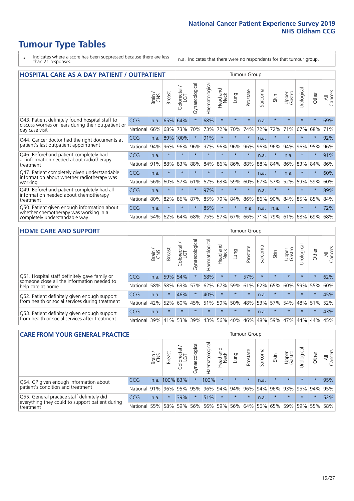- \* Indicates where a score has been suppressed because there are less than 21 responses.
- n.a. Indicates that there were no respondents for that tumour group.

| <b>HOSPITAL CARE AS A DAY PATIENT / OUTPATIENT</b>                                         |            |       |               |                     |                |                |                        |         | <b>Tumour Group</b> |                               |         |                 |            |         |                |
|--------------------------------------------------------------------------------------------|------------|-------|---------------|---------------------|----------------|----------------|------------------------|---------|---------------------|-------------------------------|---------|-----------------|------------|---------|----------------|
|                                                                                            |            | Brain | <b>Breast</b> | Colorectal /<br>LGT | Gynaecological | Haematological | ad and<br>Neck<br>Head | Lung    | Prostate            | arcoma<br>$\overline{\Omega}$ | Skin    | Upper<br>Gastro | Urological | Other   | All<br>Cancers |
| Q43. Patient definitely found hospital staff to                                            | <b>CCG</b> | n.a.  | 65%           | 64%                 | $\star$        | 68%            | $\star$                | $\star$ | $\star$             | n.a.                          | $\star$ | $\star$         | $\star$    | $\star$ | 69%            |
| discuss worries or fears during their outpatient or<br>day case visit                      | National   | 66%   | 68%           | 73%                 | 70%            | 73%            | 72%                    | 70%     | 74%                 | 72%                           | 72%     | 71%             | 67%        | 68%     | 71%            |
| Q44. Cancer doctor had the right documents at                                              | CCG        | n.a.  | 89%           | 100%                | $\star$        | 91%            | $\star$                | $\star$ | $\star$             | n.a.                          |         | $\star$         | $\star$    | $\ast$  | 92%            |
| patient's last outpatient appointment                                                      | National   | 94%   | 96%           | 96%                 | 96%            | 97%            | 96%                    | 96%     | 96%                 | 96%                           | 96%     | 94%             | 96%        | 95%     | 96%            |
| Q46. Beforehand patient completely had<br>all information needed about radiotherapy        | <b>CCG</b> | n.a.  | $\star$       | $\star$             |                |                | $\star$                | $\star$ | $\star$             | n.a.                          | $\star$ | n.a.            | $\star$    | $\ast$  | 91%            |
| treatment                                                                                  | National   | 91%   | 88%           | 83%                 | 88%            | 84%            | 86%                    | 86%     | 88%                 | 88%                           | 84%     | 86%             | 83%        | 84%     | 86%            |
| Q47. Patient completely given understandable<br>information about whether radiotherapy was | <b>CCG</b> | n.a.  | $\star$       | $\star$             | $\star$        |                | $\star$                | $\star$ | $\star$             | n.a.                          | $\star$ | n.a.            | $\star$    | $\star$ | 60%            |
| working                                                                                    | National   | 56%   | 60%           | 57%                 | 61%            | 62%            | 63%                    | 59%     | 60%                 | 67%                           | 57%     | 52%             | 59%        | 59%     | 60%            |
| Q49. Beforehand patient completely had all<br>information needed about chemotherapy        | <b>CCG</b> | n.a.  | $\star$       | $\star$             | $\star$        | 97%            | $\star$                | $\star$ | $\star$             | n.a.                          | $\star$ | $\star$         | $\star$    | $\ast$  | 89%            |
| treatment                                                                                  | National   | 80%   | 82%           | 86%                 | 87%            | 85%            | 79%                    | 84%     | 86%                 | 86%                           | 90%     | 84%             | 85%        | 85%     | 84%            |
| Q50. Patient given enough information about                                                | <b>CCG</b> | n.a.  | $\star$       |                     |                | 85%            | $\star$                | $\star$ | n.a.                | n.a.                          | n.a.    | $\star$         |            | $\star$ | 72%            |
| whether chemotherapy was working in a<br>completely understandable way                     | National   | 54%   | 62%           | 64%                 | 68%            | 75%            |                        | 57% 67% | 66%                 | 71%                           | 79%     | 61%             | 68%        | 69%     | 68%            |

#### **HOME CARE AND SUPPORT** Tumour Group

|                                                                                                                   |            | Brain | <b>Breast</b> | olorectal.<br>LGT<br>Ũ | σ<br>Ü<br>Gynaecologi | Haematological | ad and<br>Neck<br>Head | <b>Lung</b> | Prostate | Sarcoma | Skin    | Upper<br>Gastro | rological | Other   | All<br>Cancers |
|-------------------------------------------------------------------------------------------------------------------|------------|-------|---------------|------------------------|-----------------------|----------------|------------------------|-------------|----------|---------|---------|-----------------|-----------|---------|----------------|
| Q51. Hospital staff definitely gave family or<br>someone close all the information needed to<br>help care at home | <b>CCG</b> | n.a.  |               | 59% 54%                | $\star$               | 68%            | $\star$                | $\star$     | 57%      | $\star$ | $\star$ | $\star$         | $\star$   | $\star$ | 62%            |
|                                                                                                                   | National   | 58%   | 58%           | 63%                    | 57%                   | 62%            | 67%                    | 59%         | 61%      |         | 62% 65% | 60%             | 59% 55%   |         | 60%            |
| Q52. Patient definitely given enough support<br>from health or social services during treatment                   | <b>CCG</b> | n.a.  |               | 46%                    | $\star$               | 40%            | $\star$                | $\star$     | $\star$  | n.a.    | $\star$ | $\star$         | $\star$   | $\star$ | 45%            |
|                                                                                                                   | National   | 42%   | 52%           | 60%                    |                       | 45% 51%        | 59%                    | 50%         | 48%      |         | 53% 57% | 54%             | 48% 51%   |         | 52%            |
| Q53. Patient definitely given enough support<br>from health or social services after treatment                    | <b>CCG</b> | n.a.  |               | $\star$                | $\star$               |                | $\star$                | $\star$     | $\star$  | n.a.    | $\star$ | $\star$         | $\star$   | $\star$ | 43%            |
|                                                                                                                   | National   | 39%   | 41%           | 53%                    | 39%                   | 43%            | 56%                    | 40%         | 46%      |         | 48% 59% | 47%             | 44%       | 44%     | 45%            |

| <b>CARE FROM YOUR GENERAL PRACTICE</b>                                                                     |              |        |               |                        |               |                                     |                  | Tumour Group |                                     |         |         |                 |                |         |                |  |  |
|------------------------------------------------------------------------------------------------------------|--------------|--------|---------------|------------------------|---------------|-------------------------------------|------------------|--------------|-------------------------------------|---------|---------|-----------------|----------------|---------|----------------|--|--|
|                                                                                                            |              | Brain, | <b>Breast</b> | ー<br>Colorectal<br>LGT | Gynaecologica | $\overline{\sigma}$<br>Haematologic | Head and<br>Neck | Lung         | Prostate                            | Sarcoma | Skin    | Upper<br>Gastro | Φ<br>Urologica | Other   | All<br>Cancers |  |  |
| Q54. GP given enough information about<br>patient's condition and treatment                                | CCG          | n.a.   | 100% 83%      |                        |               | 100%                                | $\ast$           | $\star$      | $\star$                             | n.a.    | $\star$ | $\star$         | $\star$        | $\star$ | 95%            |  |  |
|                                                                                                            | National     | 91%    |               | 96% 95%                | 95%           |                                     |                  |              | 96% 94% 94% 96%                     |         | 94% 96% | 93% 95% 94%     |                |         | 95%            |  |  |
| Q55. General practice staff definitely did<br>everything they could to support patient during<br>treatment | CCG          | n.a.   |               | 39%                    |               | 51%                                 | $\star$          | $\star$      | $\star$                             | n.a.    | $\star$ | $\star$         | $\star$        | $\star$ | 52%            |  |  |
|                                                                                                            | National 55% |        |               | 58% 59%                | 56%           |                                     |                  |              | 56% 59% 56% 64% 56% 65% 59% 59% 55% |         |         |                 |                |         | 58%            |  |  |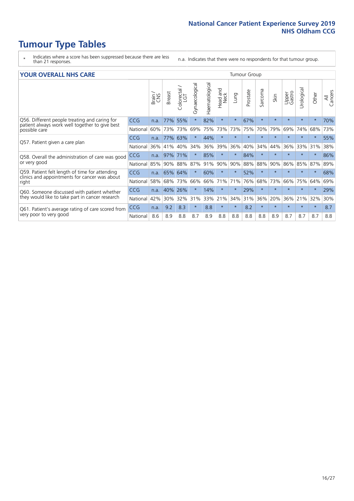- \* Indicates where a score has been suppressed because there are less than 21 responses.
- n.a. Indicates that there were no respondents for that tumour group.

#### **YOUR OVERALL NHS CARE** THE CONSTRUCTION OF THE THROUP GROUP TUMOUR GROUP

| I YUN YENAEL NI IYOANE |       |               |                                 |                   |                |                         |                           |          |         |              |                 |               |         |                |
|------------------------|-------|---------------|---------------------------------|-------------------|----------------|-------------------------|---------------------------|----------|---------|--------------|-----------------|---------------|---------|----------------|
|                        | Brain | <b>Breast</b> | ∽<br>olorectal<br>LGT<br>$\cup$ | Gynaecological    | Haematological | aad and<br>Neck<br>Head | Lung                      | Prostate | Sarcoma | Skin         | Upper<br>Gastro | ී<br>Urologic | Other   | All<br>Cancers |
| <b>CCG</b>             | n.a.  | 77%           | 55%                             |                   | 82%            | $\star$                 | $\star$                   | 67%      | $\star$ | $\star$      | $\star$         | $\star$       | $\ast$  | 70%            |
| National               | 60%   | 73%           | 73%                             | 69%               | 75%            | 73%                     | 73%                       | 75%      | 70%     | 79%          | 69%             | 74%           | 68%     | 73%            |
| <b>CCG</b>             | n.a.  | 77%           | 63%                             |                   | 44%            | $\ast$                  | $\star$                   | $\star$  | $\star$ | $\star$      | $\star$         |               | $\star$ | 55%            |
| National               | 36%   | 41%           | 40%                             | 34%               | 36%            | 39%                     | 36%                       | 40%      | 34%     | 44%          | 36%             | 33%           | 31%     | 38%            |
| <b>CCG</b>             | n.a.  | 97%           | 71%                             |                   | 85%            | $\ast$                  | $\star$                   | 84%      | $\star$ | $\star$      |                 |               | $\star$ | 86%            |
| National               |       |               | 88%                             | 87%               | 91%            |                         |                           | 88%      | 88%     | 90%          | 86%             | 85%           | 87%     | 89%            |
| CCG                    | n.a.  |               | 64%                             |                   | 60%            | $\star$                 | $\star$                   | 52%      | $\star$ | $\star$      |                 | $\star$       | $\star$ | 68%            |
| National               | 58%   |               | 73%                             | 66%               |                |                         | 71%                       | 76%      | 68%     | 73%          | 66%             | 75%           | 64%     | 69%            |
| <b>CCG</b>             | n.a.  | 40%           | 26%                             |                   | 14%            | $\ast$                  | $\star$                   | 29%      | $\star$ | $\star$      |                 |               | $\star$ | 29%            |
| National               | 42%   | 30%           | 32%                             | 31%               |                |                         |                           | 31%      | 36%     | 20%          | 36%             | 21%           | 32%     | 30%            |
| <b>CCG</b>             | n.a.  | 9.2           | 8.3                             | $\star$           | 8.8            | $\star$                 | $\star$                   | 8.2      | $\star$ | $\star$      | $\star$         | $\star$       | $\ast$  | 8.7            |
| National               | 8.6   | 8.9           | 8.8                             | 8.7               | 8.9            | 8.8                     | 8.8                       | 8.8      | 8.8     | 8.9          | 8.7             | 8.7           | 8.7     | 8.8            |
|                        |       |               | 85%                             | 90%<br>65%<br>68% |                |                         | 90%<br>66% 71%<br>33% 21% | 90%      | 34%     | iamoar oroap |                 |               |         |                |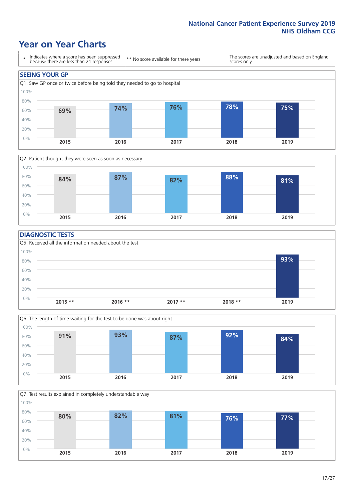### **Year on Year Charts**





### **DIAGNOSTIC TESTS**





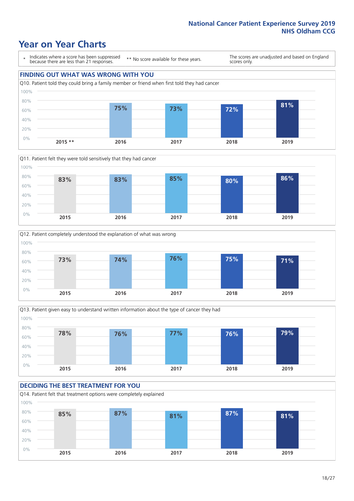## **Year on Year Charts**

\* Indicates where a score has been suppressed because there are less than 21 responses.

\*\* No score available for these years.

The scores are unadjusted and based on England scores only.

### **FINDING OUT WHAT WAS WRONG WITH YOU**









#### **DECIDING THE BEST TREATMENT FOR YOU** Q14. Patient felt that treatment options were completely explained 0% 20% 40% 60% 80% 100% **2015 2016 2017 2018 2019 85% 87% 81% 87% 81%**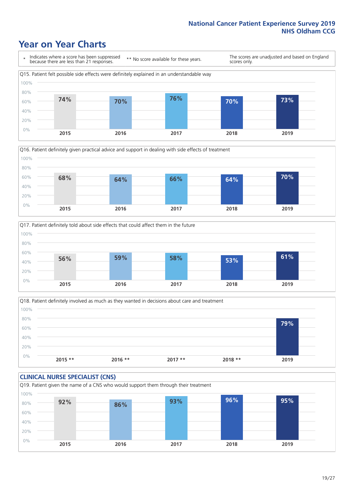### **Year on Year Charts**







Q18. Patient definitely involved as much as they wanted in decisions about care and treatment  $0%$ 20% 40% 60% 80% 100% **2015 \*\* 2016 \*\* 2017 \*\* 2018 \*\* 2019 79%**

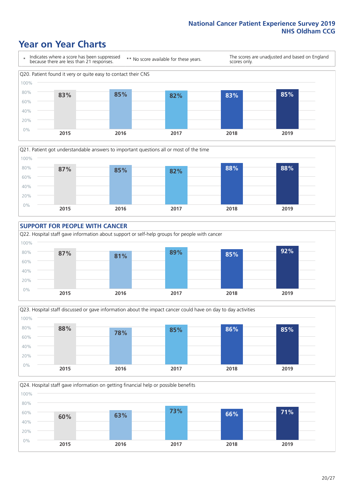### **Year on Year Charts**











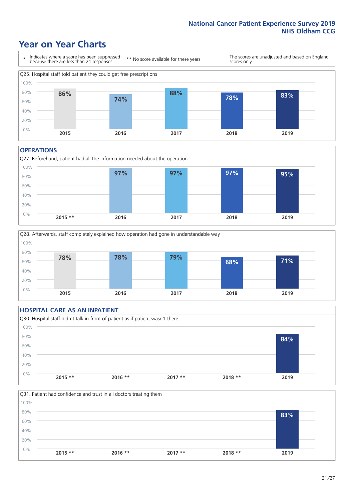### **Year on Year Charts**



#### **OPERATIONS**





### **HOSPITAL CARE AS AN INPATIENT** Q30. Hospital staff didn't talk in front of patient as if patient wasn't there 0% 20% 40% 60% 80% 100% **2015 \*\* 2016 \*\* 2017 \*\* 2018 \*\* 2019 84%**

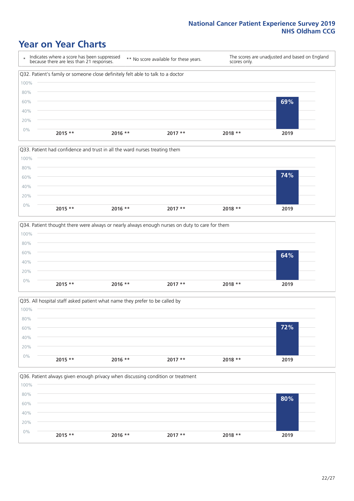### **Year on Year Charts**









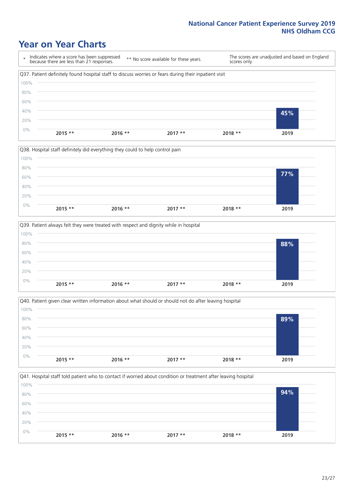### **Year on Year Charts**

\* Indicates where a score has been suppressed because there are less than 21 responses. \*\* No score available for these years. The scores are unadjusted and based on England scores only. Q37. Patient definitely found hospital staff to discuss worries or fears during their inpatient visit 0% 20% 40% 60% 80% 100% **2015 \*\* 2016 \*\* 2017 \*\* 2018 \*\* 2019 45%**







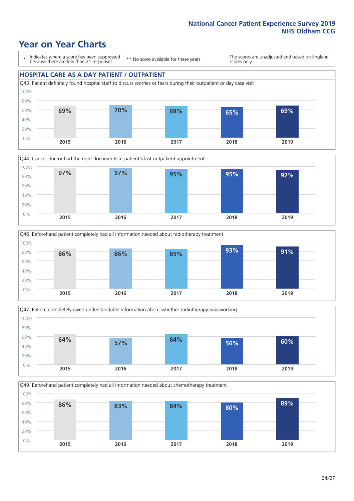### **Year on Year Charts**

\* Indicates where a score has been suppressed because there are less than 21 responses.

\*\* No score available for these years.

The scores are unadjusted and based on England scores only.

#### **HOSPITAL CARE AS A DAY PATIENT / OUTPATIENT**









Q49. Beforehand patient completely had all information needed about chemotherapy treatment

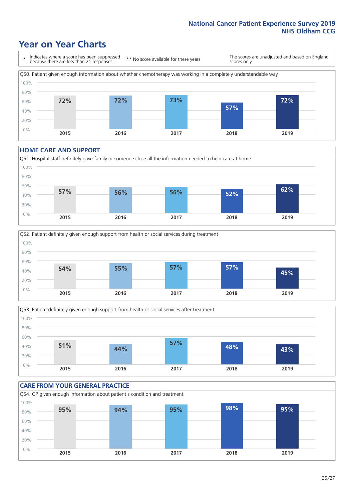### **Year on Year Charts**

\* Indicates where a score has been suppressed because there are less than 21 responses. \*\* No score available for these years. The scores are unadjusted and based on England scores only. Q50. Patient given enough information about whether chemotherapy was working in a completely understandable way 0% 20% 40% 60% 80% 100% **2015 2016 2017 2018 2019 72% 72% 73% 57% 72%**

#### **HOME CARE AND SUPPORT**







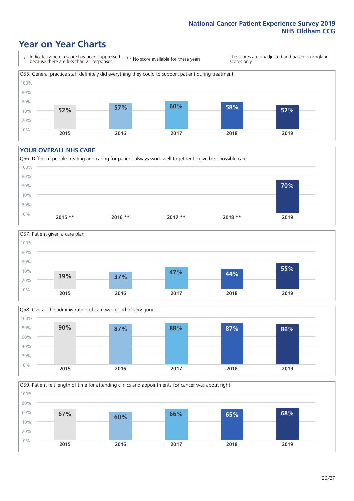### **Year on Year Charts**

\* Indicates where a score has been suppressed because there are less than 21 responses.

\*\* No score available for these years.

The scores are unadjusted and based on England scores only.



#### **YOUR OVERALL NHS CARE**







Q59. Patient felt length of time for attending clinics and appointments for cancer was about right